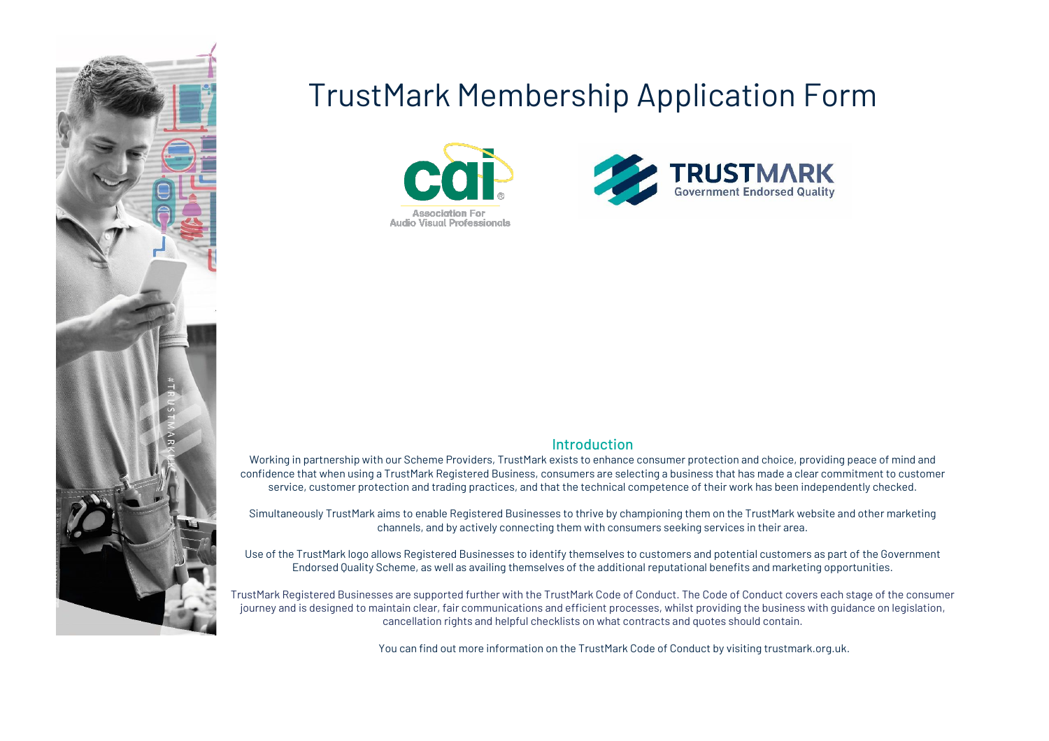

# TrustMark Membership Application Form





#### **Introduction**

Working in partnership with our Scheme Providers, TrustMark exists to enhance consumer protection and choice, providing peace of mind and confidence that when using a TrustMark Registered Business, consumers are selecting a business that has made a clear commitment to customer service, customer protection and trading practices, and that the technical competence of their work has been independently checked.

Simultaneously TrustMark aims to enable Registered Businesses to thrive by championing them on the TrustMark website and other marketing channels, and by actively connecting them with consumers seeking services in their area.

Use of the TrustMark logo allows Registered Businesses to identify themselves to customers and potential customers as part of the Government Endorsed Quality Scheme, as well as availing themselves of the additional reputational benefits and marketing opportunities.

TrustMark Registered Businesses are supported further with the TrustMark Code of Conduct. The Code of Conduct covers each stage of the consumer journey and is designed to maintain clear, fair communications and efficient processes, whilst providing the business with guidance on legislation, cancellation rights and helpful checklists on what contracts and quotes should contain.

You can find out more information on the TrustMark Code of Conduct by visiting trustmark.org.uk.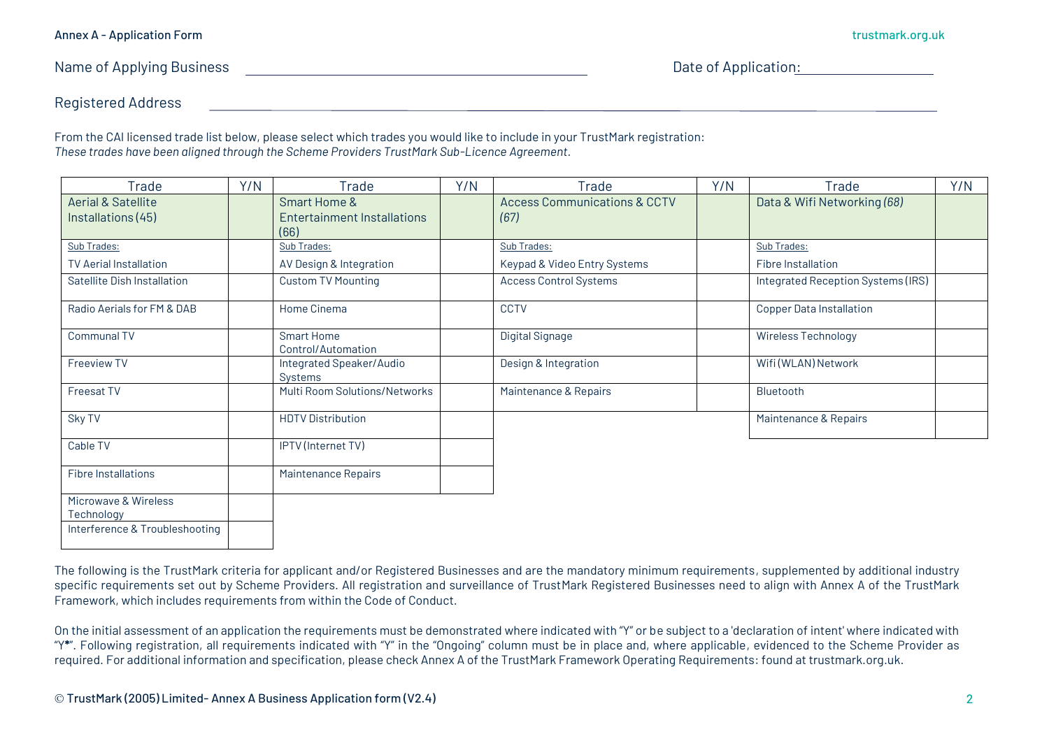Name of Applying Business **Name of Application:** Date of Application:

Registered Address

From the CAI licensed trade list below, please select which trades you would like to include in your TrustMark registration: *These trades have been aligned through the Scheme Providers TrustMark Sub-Licence Agreement.*

| Trade                                               | Y/N | Trade                                                          | Y/N | Trade                                           | Y/N | Trade                              | Y/N |
|-----------------------------------------------------|-----|----------------------------------------------------------------|-----|-------------------------------------------------|-----|------------------------------------|-----|
| <b>Aerial &amp; Satellite</b><br>Installations (45) |     | <b>Smart Home &amp;</b><br>Entertainment Installations<br>(66) |     | <b>Access Communications &amp; CCTV</b><br>(67) |     | Data & Wifi Networking (68)        |     |
| Sub Trades:                                         |     | Sub Trades:                                                    |     | Sub Trades:                                     |     | Sub Trades:                        |     |
| <b>TV Aerial Installation</b>                       |     | AV Design & Integration                                        |     | Keypad & Video Entry Systems                    |     | <b>Fibre Installation</b>          |     |
| Satellite Dish Installation                         |     | <b>Custom TV Mounting</b>                                      |     | <b>Access Control Systems</b>                   |     | Integrated Reception Systems (IRS) |     |
| Radio Aerials for FM & DAB                          |     | Home Cinema                                                    |     | <b>CCTV</b>                                     |     | <b>Copper Data Installation</b>    |     |
| <b>Communal TV</b>                                  |     | <b>Smart Home</b><br>Control/Automation                        |     | Digital Signage                                 |     | Wireless Technology                |     |
| <b>Freeview TV</b>                                  |     | Integrated Speaker/Audio<br><b>Systems</b>                     |     | Design & Integration                            |     | Wifi (WLAN) Network                |     |
| <b>Freesat TV</b>                                   |     | Multi Room Solutions/Networks                                  |     | Maintenance & Repairs                           |     | Bluetooth                          |     |
| Sky TV                                              |     | <b>HDTV Distribution</b>                                       |     |                                                 |     | Maintenance & Repairs              |     |
| Cable TV                                            |     | IPTV (Internet TV)                                             |     |                                                 |     |                                    |     |
| <b>Fibre Installations</b>                          |     | Maintenance Repairs                                            |     |                                                 |     |                                    |     |
| Microwave & Wireless                                |     |                                                                |     |                                                 |     |                                    |     |
| Technology                                          |     |                                                                |     |                                                 |     |                                    |     |
| Interference & Troubleshooting                      |     |                                                                |     |                                                 |     |                                    |     |

The following is the TrustMark criteria for applicant and/or Registered Businesses and are the mandatory minimum requirements, supplemented by additional industry specific requirements set out by Scheme Providers. All registration and surveillance of TrustMark Registered Businesses need to align with Annex A of the TrustMark Framework, which includes requirements from within the Code of Conduct.

On the initial assessment of an application the requirements must be demonstrated where indicated with "Y" or be subject to a 'declaration of intent' where indicated with "Y**\***". Following registration, all requirements indicated with "Y" in the "Ongoing" column must be in place and, where applicable, evidenced to the Scheme Provider as required. For additional information and specification, please check Annex A of the TrustMark Framework Operating Requirements: found at trustmark.org.uk.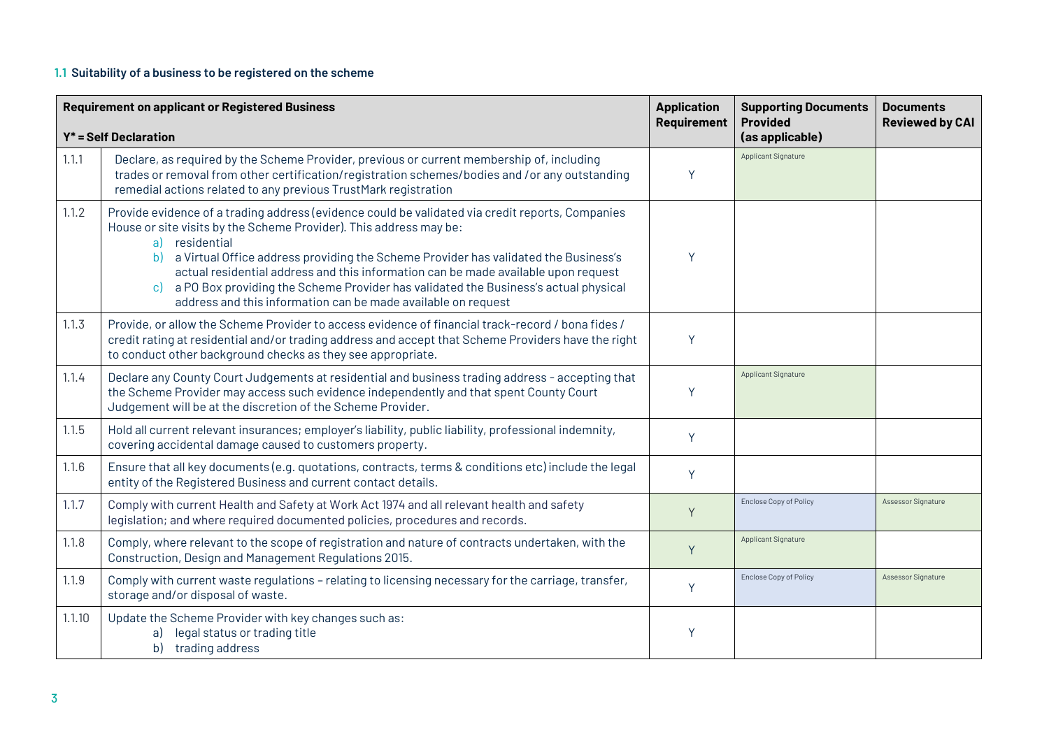### **1.1 Suitability of a business to be registered on the scheme**

|        | <b>Requirement on applicant or Registered Business</b><br><b>Application</b>                                                                                                                                                                                                                                                                                                                                                                                                                                                              |             | <b>Supporting Documents</b><br><b>Provided</b> | <b>Documents</b><br><b>Reviewed by CAI</b> |
|--------|-------------------------------------------------------------------------------------------------------------------------------------------------------------------------------------------------------------------------------------------------------------------------------------------------------------------------------------------------------------------------------------------------------------------------------------------------------------------------------------------------------------------------------------------|-------------|------------------------------------------------|--------------------------------------------|
|        | $Y^*$ = Self Declaration                                                                                                                                                                                                                                                                                                                                                                                                                                                                                                                  | Requirement | (as applicable)                                |                                            |
| 1.1.1  | Declare, as required by the Scheme Provider, previous or current membership of, including<br>trades or removal from other certification/registration schemes/bodies and /or any outstanding<br>remedial actions related to any previous TrustMark registration                                                                                                                                                                                                                                                                            | Y           | Applicant Signature                            |                                            |
| 1.1.2  | Provide evidence of a trading address (evidence could be validated via credit reports, Companies<br>House or site visits by the Scheme Provider). This address may be:<br>a) residential<br>a Virtual Office address providing the Scheme Provider has validated the Business's<br>b)<br>actual residential address and this information can be made available upon request<br>a PO Box providing the Scheme Provider has validated the Business's actual physical<br>c)<br>address and this information can be made available on request | Y           |                                                |                                            |
| 1.1.3  | Provide, or allow the Scheme Provider to access evidence of financial track-record / bona fides /<br>credit rating at residential and/or trading address and accept that Scheme Providers have the right<br>to conduct other background checks as they see appropriate.                                                                                                                                                                                                                                                                   | Y           |                                                |                                            |
| 1.1.4  | Declare any County Court Judgements at residential and business trading address - accepting that<br>the Scheme Provider may access such evidence independently and that spent County Court<br>Judgement will be at the discretion of the Scheme Provider.                                                                                                                                                                                                                                                                                 | Y           | Applicant Signature                            |                                            |
| 1.1.5  | Hold all current relevant insurances; employer's liability, public liability, professional indemnity,<br>covering accidental damage caused to customers property.                                                                                                                                                                                                                                                                                                                                                                         | Y           |                                                |                                            |
| 1.1.6  | Ensure that all key documents (e.g. quotations, contracts, terms & conditions etc) include the legal<br>entity of the Registered Business and current contact details.                                                                                                                                                                                                                                                                                                                                                                    | Y           |                                                |                                            |
| 1.1.7  | Comply with current Health and Safety at Work Act 1974 and all relevant health and safety<br>legislation; and where required documented policies, procedures and records.                                                                                                                                                                                                                                                                                                                                                                 | Y           | <b>Enclose Copy of Policy</b>                  | Assessor Signature                         |
| 1.1.8  | Comply, where relevant to the scope of registration and nature of contracts undertaken, with the<br>Construction, Design and Management Regulations 2015.                                                                                                                                                                                                                                                                                                                                                                                 | Y           | <b>Applicant Signature</b>                     |                                            |
| 1.1.9  | Comply with current waste regulations - relating to licensing necessary for the carriage, transfer,<br>storage and/or disposal of waste.                                                                                                                                                                                                                                                                                                                                                                                                  | Y           | <b>Enclose Copy of Policy</b>                  | Assessor Signature                         |
| 1.1.10 | Update the Scheme Provider with key changes such as:<br>a) legal status or trading title<br>b) trading address                                                                                                                                                                                                                                                                                                                                                                                                                            | Y           |                                                |                                            |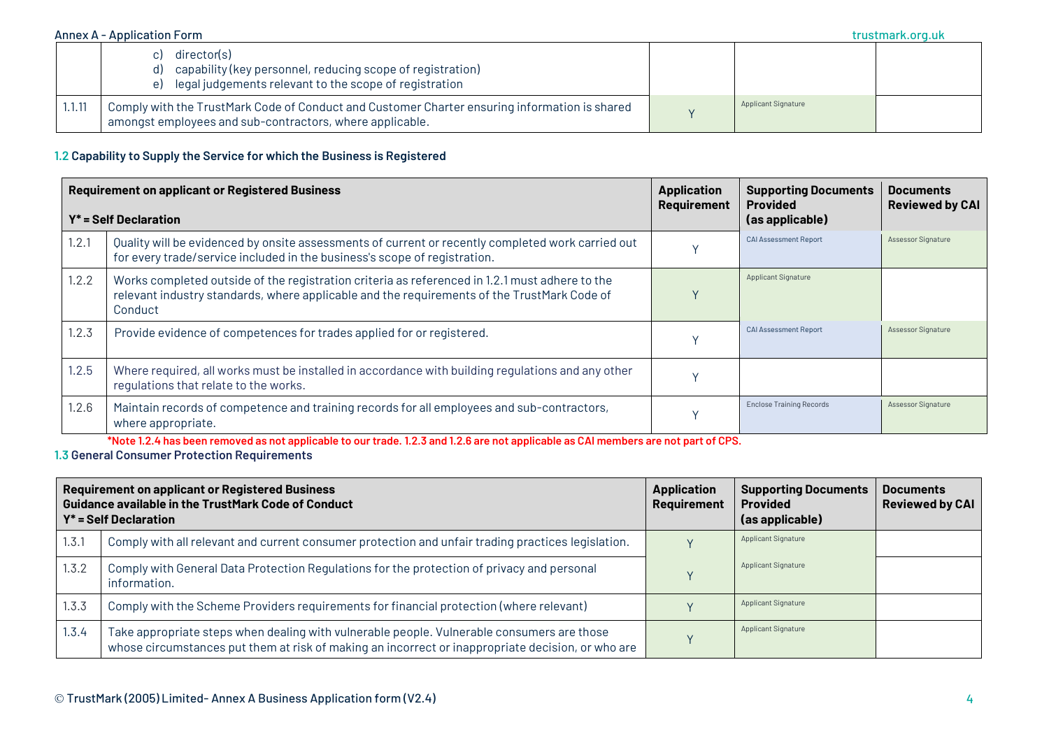|        | director(s)<br>capability (key personnel, reducing scope of registration)<br>d)<br>legal judgements relevant to the scope of registration<br>e)           |                            |  |
|--------|-----------------------------------------------------------------------------------------------------------------------------------------------------------|----------------------------|--|
| 1.1.11 | Comply with the TrustMark Code of Conduct and Customer Charter ensuring information is shared<br>amongst employees and sub-contractors, where applicable. | <b>Applicant Signature</b> |  |

#### **1.2 Capability to Supply the Service for which the Business is Registered**

|       | <b>Requirement on applicant or Registered Business</b><br>$Y^*$ = Self Declaration                                                                                                                       | <b>Application</b><br>Requirement | <b>Supporting Documents</b><br><b>Provided</b><br>(as applicable) | <b>Documents</b><br><b>Reviewed by CAI</b> |
|-------|----------------------------------------------------------------------------------------------------------------------------------------------------------------------------------------------------------|-----------------------------------|-------------------------------------------------------------------|--------------------------------------------|
| 1.2.1 | Quality will be evidenced by onsite assessments of current or recently completed work carried out<br>for every trade/service included in the business's scope of registration.                           |                                   | <b>CAI Assessment Report</b>                                      | Assessor Signature                         |
| 1.2.2 | Works completed outside of the registration criteria as referenced in 1.2.1 must adhere to the<br>relevant industry standards, where applicable and the requirements of the TrustMark Code of<br>Conduct |                                   | <b>Applicant Signature</b>                                        |                                            |
| 1.2.3 | Provide evidence of competences for trades applied for or registered.                                                                                                                                    |                                   | <b>CAI Assessment Report</b>                                      | Assessor Signature                         |
| 1.2.5 | Where required, all works must be installed in accordance with building regulations and any other<br>regulations that relate to the works.                                                               |                                   |                                                                   |                                            |
| 1.2.6 | Maintain records of competence and training records for all employees and sub-contractors,<br>where appropriate.                                                                                         |                                   | <b>Enclose Training Records</b>                                   | Assessor Signature                         |

**\*Note 1.2.4 has been removed as not applicable to our trade. 1.2.3 and 1.2.6 are not applicable as CAI members are not part of CPS.** 

#### **1.3 General Consumer Protection Requirements**

|       | <b>Requirement on applicant or Registered Business</b><br><b>Guidance available in the TrustMark Code of Conduct</b><br>$Y^*$ = Self Declaration                                                | <b>Application</b><br><b>Requirement</b> | <b>Supporting Documents</b><br><b>Provided</b><br>(as applicable) | <b>Documents</b><br><b>Reviewed by CAI</b> |
|-------|-------------------------------------------------------------------------------------------------------------------------------------------------------------------------------------------------|------------------------------------------|-------------------------------------------------------------------|--------------------------------------------|
| 1.3.1 | Comply with all relevant and current consumer protection and unfair trading practices legislation.                                                                                              |                                          | <b>Applicant Signature</b>                                        |                                            |
| 1.3.2 | Comply with General Data Protection Regulations for the protection of privacy and personal<br>information.                                                                                      |                                          | <b>Applicant Signature</b>                                        |                                            |
| 1.3.3 | Comply with the Scheme Providers requirements for financial protection (where relevant)                                                                                                         |                                          | <b>Applicant Signature</b>                                        |                                            |
| 1.3.4 | Take appropriate steps when dealing with vulnerable people. Vulnerable consumers are those<br>whose circumstances put them at risk of making an incorrect or inappropriate decision, or who are |                                          | <b>Applicant Signature</b>                                        |                                            |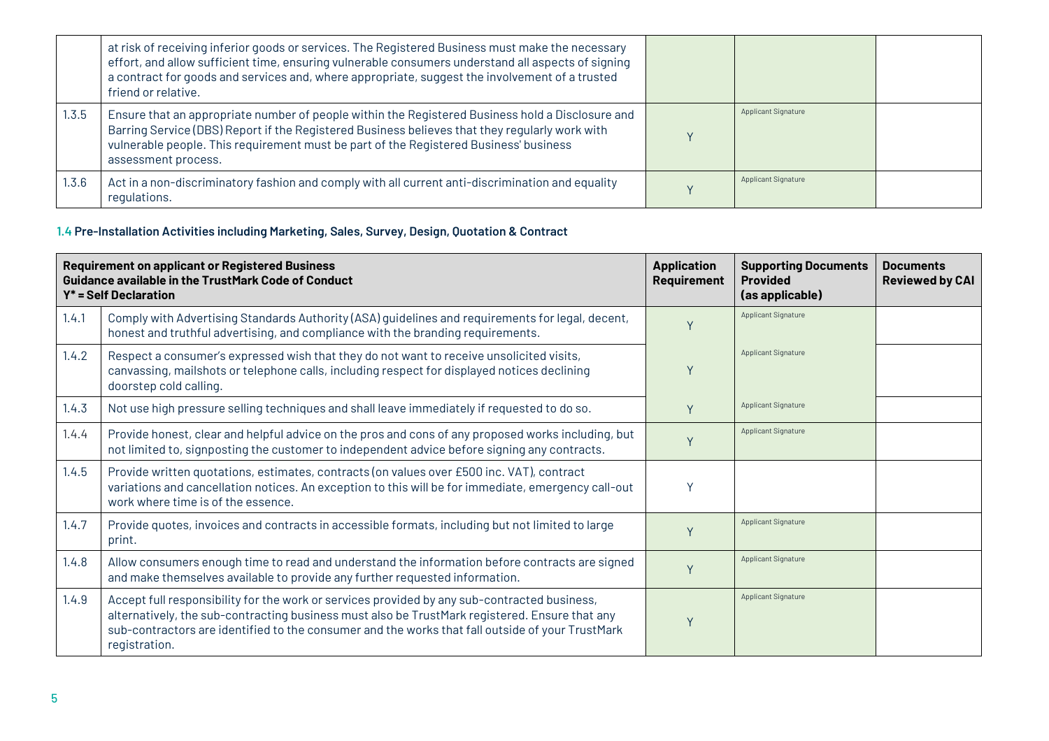|       | at risk of receiving inferior goods or services. The Registered Business must make the necessary<br>effort, and allow sufficient time, ensuring vulnerable consumers understand all aspects of signing<br>a contract for goods and services and, where appropriate, suggest the involvement of a trusted<br>friend or relative. |                            |  |
|-------|---------------------------------------------------------------------------------------------------------------------------------------------------------------------------------------------------------------------------------------------------------------------------------------------------------------------------------|----------------------------|--|
| 1.3.5 | Ensure that an appropriate number of people within the Registered Business hold a Disclosure and<br>Barring Service (DBS) Report if the Registered Business believes that they regularly work with<br>vulnerable people. This requirement must be part of the Registered Business' business<br>assessment process.              | <b>Applicant Signature</b> |  |
| 1.3.6 | Act in a non-discriminatory fashion and comply with all current anti-discrimination and equality<br>regulations.                                                                                                                                                                                                                | <b>Applicant Signature</b> |  |

# **1.4 Pre-Installation Activities including Marketing, Sales, Survey, Design, Quotation & Contract**

|       | <b>Requirement on applicant or Registered Business</b><br><b>Guidance available in the TrustMark Code of Conduct</b><br>$Y^*$ = Self Declaration                                                                                                                                                                    | <b>Application</b><br><b>Requirement</b> | <b>Supporting Documents</b><br><b>Provided</b><br>(as applicable) | <b>Documents</b><br><b>Reviewed by CAI</b> |
|-------|---------------------------------------------------------------------------------------------------------------------------------------------------------------------------------------------------------------------------------------------------------------------------------------------------------------------|------------------------------------------|-------------------------------------------------------------------|--------------------------------------------|
| 1.4.1 | Comply with Advertising Standards Authority (ASA) guidelines and requirements for legal, decent,<br>honest and truthful advertising, and compliance with the branding requirements.                                                                                                                                 |                                          | Applicant Signature                                               |                                            |
| 1.4.2 | Respect a consumer's expressed wish that they do not want to receive unsolicited visits,<br>canvassing, mailshots or telephone calls, including respect for displayed notices declining<br>doorstep cold calling.                                                                                                   |                                          | <b>Applicant Signature</b>                                        |                                            |
| 1.4.3 | Not use high pressure selling techniques and shall leave immediately if requested to do so.                                                                                                                                                                                                                         |                                          | <b>Applicant Signature</b>                                        |                                            |
| 1.4.4 | Provide honest, clear and helpful advice on the pros and cons of any proposed works including, but<br>not limited to, signposting the customer to independent advice before signing any contracts.                                                                                                                  |                                          | <b>Applicant Signature</b>                                        |                                            |
| 1.4.5 | Provide written quotations, estimates, contracts (on values over £500 inc. VAT), contract<br>variations and cancellation notices. An exception to this will be for immediate, emergency call-out<br>work where time is of the essence.                                                                              | v                                        |                                                                   |                                            |
| 1.4.7 | Provide quotes, invoices and contracts in accessible formats, including but not limited to large<br>print.                                                                                                                                                                                                          |                                          | <b>Applicant Signature</b>                                        |                                            |
| 1.4.8 | Allow consumers enough time to read and understand the information before contracts are signed<br>and make themselves available to provide any further requested information.                                                                                                                                       |                                          | Applicant Signature                                               |                                            |
| 1.4.9 | Accept full responsibility for the work or services provided by any sub-contracted business,<br>alternatively, the sub-contracting business must also be TrustMark registered. Ensure that any<br>sub-contractors are identified to the consumer and the works that fall outside of your TrustMark<br>registration. |                                          | Applicant Signature                                               |                                            |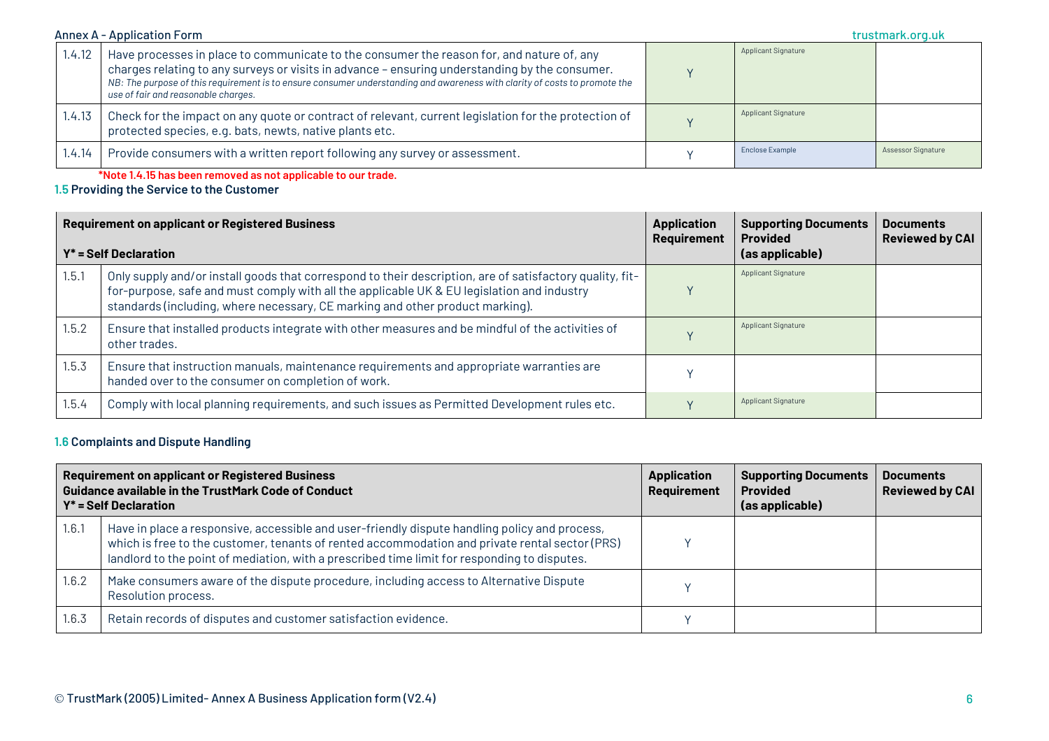| 1.4.12 | Have processes in place to communicate to the consumer the reason for, and nature of, any<br>charges relating to any surveys or visits in advance - ensuring understanding by the consumer.<br>NB: The purpose of this requirement is to ensure consumer understanding and awareness with clarity of costs to promote the<br>use of fair and reasonable charges. | <b>Applicant Signature</b> |                    |
|--------|------------------------------------------------------------------------------------------------------------------------------------------------------------------------------------------------------------------------------------------------------------------------------------------------------------------------------------------------------------------|----------------------------|--------------------|
| 1.4.13 | Check for the impact on any quote or contract of relevant, current legislation for the protection of<br>protected species, e.g. bats, newts, native plants etc.                                                                                                                                                                                                  | <b>Applicant Signature</b> |                    |
| 1.4.14 | Provide consumers with a written report following any survey or assessment.                                                                                                                                                                                                                                                                                      | Enclose Example            | Assessor Signature |

**\*Note 1.4.15 has been removed as not applicable to our trade.**

**1.5 Providing the Service to the Customer**

|       | <b>Requirement on applicant or Registered Business</b><br>$Y^*$ = Self Declaration                                                                                                                                                                                                      | <b>Application</b><br>Requirement | <b>Supporting Documents</b><br><b>Provided</b><br>(as applicable) | <b>Documents</b><br><b>Reviewed by CAI</b> |
|-------|-----------------------------------------------------------------------------------------------------------------------------------------------------------------------------------------------------------------------------------------------------------------------------------------|-----------------------------------|-------------------------------------------------------------------|--------------------------------------------|
| 1.5.1 | Only supply and/or install goods that correspond to their description, are of satisfactory quality, fit-<br>for-purpose, safe and must comply with all the applicable UK & EU legislation and industry<br>standards (including, where necessary, CE marking and other product marking). |                                   | Applicant Signature                                               |                                            |
| 1.5.2 | Ensure that installed products integrate with other measures and be mindful of the activities of<br>other trades.                                                                                                                                                                       |                                   | <b>Applicant Signature</b>                                        |                                            |
| 1.5.3 | Ensure that instruction manuals, maintenance requirements and appropriate warranties are<br>handed over to the consumer on completion of work.                                                                                                                                          |                                   |                                                                   |                                            |
| 1.5.4 | Comply with local planning requirements, and such issues as Permitted Development rules etc.                                                                                                                                                                                            |                                   | <b>Applicant Signature</b>                                        |                                            |

### **1.6 Complaints and Dispute Handling**

|       | <b>Requirement on applicant or Registered Business</b><br><b>Guidance available in the TrustMark Code of Conduct</b><br>$Y^*$ = Self Declaration                                                                                                                                                | <b>Application</b><br><b>Requirement</b> | <b>Supporting Documents</b><br><b>Provided</b><br>(as applicable) | <b>Documents</b><br><b>Reviewed by CAI</b> |
|-------|-------------------------------------------------------------------------------------------------------------------------------------------------------------------------------------------------------------------------------------------------------------------------------------------------|------------------------------------------|-------------------------------------------------------------------|--------------------------------------------|
| 1.6.1 | Have in place a responsive, accessible and user-friendly dispute handling policy and process,<br>which is free to the customer, tenants of rented accommodation and private rental sector (PRS)<br>landlord to the point of mediation, with a prescribed time limit for responding to disputes. |                                          |                                                                   |                                            |
| 1.6.2 | Make consumers aware of the dispute procedure, including access to Alternative Dispute<br>Resolution process.                                                                                                                                                                                   |                                          |                                                                   |                                            |
| 1.6.3 | Retain records of disputes and customer satisfaction evidence.                                                                                                                                                                                                                                  |                                          |                                                                   |                                            |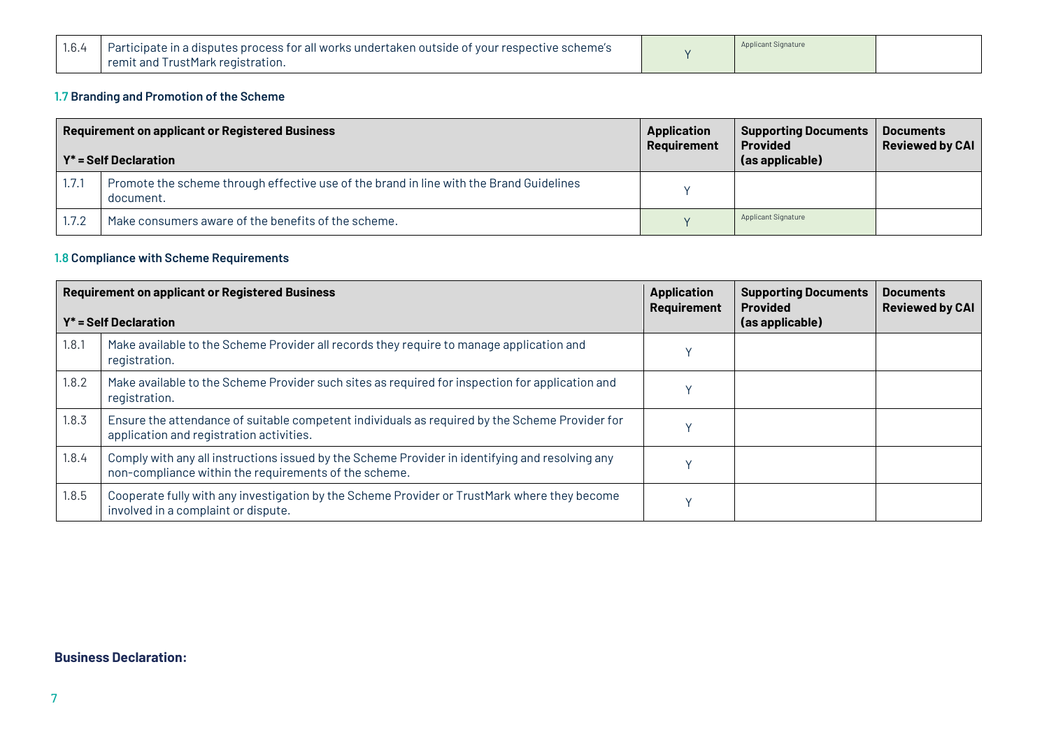| 1.6.4 | Participate in a disputes process for all works undertaken outside of your respective scheme's | <b>Applicant Signature</b> |  |
|-------|------------------------------------------------------------------------------------------------|----------------------------|--|
|       | remit and TrustMark registration.                                                              |                            |  |

# **1.7 Branding and Promotion of the Scheme**

| <b>Requirement on applicant or Registered Business</b><br>$Y^*$ = Self Declaration |                                                                                                      | <b>Application</b><br>Requirement | <b>Supporting Documents</b><br><b>Provided</b><br>(as applicable) | <b>Documents</b><br><b>Reviewed by CAI</b> |
|------------------------------------------------------------------------------------|------------------------------------------------------------------------------------------------------|-----------------------------------|-------------------------------------------------------------------|--------------------------------------------|
| 1.7.1                                                                              | Promote the scheme through effective use of the brand in line with the Brand Guidelines<br>document. |                                   |                                                                   |                                            |
| 1.7.2                                                                              | Make consumers aware of the benefits of the scheme.                                                  |                                   | <b>Applicant Signature</b>                                        |                                            |

# **1.8 Compliance with Scheme Requirements**

| <b>Requirement on applicant or Registered Business</b><br>$Y^*$ = Self Declaration |                                                                                                                                                          | <b>Application</b><br>Requirement | <b>Supporting Documents</b><br><b>Provided</b><br>(as applicable) | <b>Documents</b><br><b>Reviewed by CAI</b> |
|------------------------------------------------------------------------------------|----------------------------------------------------------------------------------------------------------------------------------------------------------|-----------------------------------|-------------------------------------------------------------------|--------------------------------------------|
| 1.8.1                                                                              | Make available to the Scheme Provider all records they require to manage application and<br>registration.                                                |                                   |                                                                   |                                            |
| 1.8.2                                                                              | Make available to the Scheme Provider such sites as required for inspection for application and<br>registration.                                         |                                   |                                                                   |                                            |
| 1.8.3                                                                              | Ensure the attendance of suitable competent individuals as required by the Scheme Provider for<br>application and registration activities.               |                                   |                                                                   |                                            |
| 1.8.4                                                                              | Comply with any all instructions issued by the Scheme Provider in identifying and resolving any<br>non-compliance within the requirements of the scheme. |                                   |                                                                   |                                            |
| 1.8.5                                                                              | Cooperate fully with any investigation by the Scheme Provider or TrustMark where they become<br>involved in a complaint or dispute.                      |                                   |                                                                   |                                            |

## **Business Declaration:**